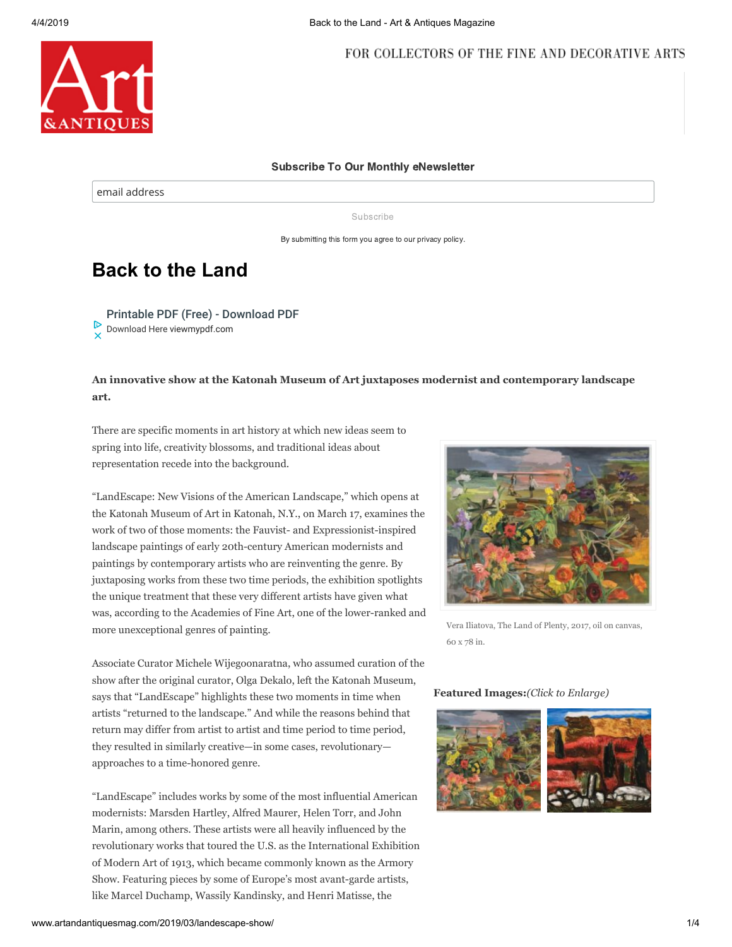

#### Subscribe To Our Monthly eNewsletter

email address

Subscribe

By submitting this form you agree to our privacy policy.

# **Back to the Land**

[Printable PDF \(Free\) - Download PDF](https://www.googleadservices.com/pagead/aclk?sa=L&ai=C_ovG7gOmXJGNKND2vAKcmL3gBu20_P5Vl4exltMI2pCxvM8BEAEgnqzxGmDJ7qCLwKTYD6AB6p2HiQPIAQGoAwHIA8MEqgTOAU_QyGX8FkIqZY4_3COpHjT_YBb-8a-pDEjfzYQ76cWonA6J2rI3qaAAFEoK0E25sYSnw8HuD7-7TkA3hdufjmh3_DQcACTjEdGWXSvyQ7tYR1iQkRUq7fwQzc4aDT7_6Y3GQEHyJyWPomx_V-F6MCAl5ES4DmkqU_qQQM2b4U7lbCZ7pPAJnIOJgU1InDpnVhjEIWUXPf4A-dK9a2y7KiVm9ATvGOyP08nr4-TutxLG0WO7JzXTjTYEgmLUUrzRKzgG-d3_g4RHN1kNXXqToAZmgAf-4fh2qAeOzhuoB9XJG6gH4NMbqAeoBqgH2csbqAfPzBuoB6a-G9gHAdIIBwiAARABGAKxCRNHc_oVRQn8gAoB2BMMiBQC&ae=1&num=1&cid=CAASEuRo_OW-amYtlEfXGAlaBkafXg&sig=AOD64_1ANi2Lp21jUon7BRpkNAUjIfOPxQ&client=ca-pub-4949852267646155&adurl=https://viewmypdf.com/games/converter7%3Fsid%3DAW2_viewmypdf_text%26cid%3Dpdf%26gclid%3DEAIaIQobChMIkbyBjMO24QIVUDtPCh0cTA9sEAEYASAAEgJ4bvD_BwE) [Download Here](https://www.googleadservices.com/pagead/aclk?sa=L&ai=C_ovG7gOmXJGNKND2vAKcmL3gBu20_P5Vl4exltMI2pCxvM8BEAEgnqzxGmDJ7qCLwKTYD6AB6p2HiQPIAQGoAwHIA8MEqgTOAU_QyGX8FkIqZY4_3COpHjT_YBb-8a-pDEjfzYQ76cWonA6J2rI3qaAAFEoK0E25sYSnw8HuD7-7TkA3hdufjmh3_DQcACTjEdGWXSvyQ7tYR1iQkRUq7fwQzc4aDT7_6Y3GQEHyJyWPomx_V-F6MCAl5ES4DmkqU_qQQM2b4U7lbCZ7pPAJnIOJgU1InDpnVhjEIWUXPf4A-dK9a2y7KiVm9ATvGOyP08nr4-TutxLG0WO7JzXTjTYEgmLUUrzRKzgG-d3_g4RHN1kNXXqToAZmgAf-4fh2qAeOzhuoB9XJG6gH4NMbqAeoBqgH2csbqAfPzBuoB6a-G9gHAdIIBwiAARABGAKxCRNHc_oVRQn8gAoB2BMMiBQC&ae=1&num=1&cid=CAASEuRo_OW-amYtlEfXGAlaBkafXg&sig=AOD64_1ANi2Lp21jUon7BRpkNAUjIfOPxQ&client=ca-pub-4949852267646155&adurl=https://viewmypdf.com/games/converter7%3Fsid%3DAW2_viewmypdf_text%26cid%3Dpdf%26gclid%3DEAIaIQobChMIkbyBjMO24QIVUDtPCh0cTA9sEAEYASAAEgJ4bvD_BwE) [viewmypdf.com](https://www.googleadservices.com/pagead/aclk?sa=L&ai=C_ovG7gOmXJGNKND2vAKcmL3gBu20_P5Vl4exltMI2pCxvM8BEAEgnqzxGmDJ7qCLwKTYD6AB6p2HiQPIAQGoAwHIA8MEqgTOAU_QyGX8FkIqZY4_3COpHjT_YBb-8a-pDEjfzYQ76cWonA6J2rI3qaAAFEoK0E25sYSnw8HuD7-7TkA3hdufjmh3_DQcACTjEdGWXSvyQ7tYR1iQkRUq7fwQzc4aDT7_6Y3GQEHyJyWPomx_V-F6MCAl5ES4DmkqU_qQQM2b4U7lbCZ7pPAJnIOJgU1InDpnVhjEIWUXPf4A-dK9a2y7KiVm9ATvGOyP08nr4-TutxLG0WO7JzXTjTYEgmLUUrzRKzgG-d3_g4RHN1kNXXqToAZmgAf-4fh2qAeOzhuoB9XJG6gH4NMbqAeoBqgH2csbqAfPzBuoB6a-G9gHAdIIBwiAARABGAKxCRNHc_oVRQn8gAoB2BMMiBQC&ae=1&num=1&cid=CAASEuRo_OW-amYtlEfXGAlaBkafXg&sig=AOD64_1ANi2Lp21jUon7BRpkNAUjIfOPxQ&client=ca-pub-4949852267646155&adurl=https://viewmypdf.com/games/converter7%3Fsid%3DAW2_viewmypdf_text%26cid%3Dpdf%26gclid%3DEAIaIQobChMIkbyBjMO24QIVUDtPCh0cTA9sEAEYASAAEgJ4bvD_BwE)

**An innovative show at the Katonah Museum of Art juxtaposes modernist and contemporary landscape art.**

There are specific moments in art history at which new ideas seem to spring into life, creativity blossoms, and traditional ideas about representation recede into the background.

"LandEscape: New Visions of the American Landscape," which opens at the Katonah Museum of Art in Katonah, N.Y., on March 17, examines the work of two of those moments: the Fauvist- and Expressionist-inspired landscape paintings of early 20th-century American modernists and paintings by contemporary artists who are reinventing the genre. By juxtaposing works from these two time periods, the exhibition spotlights the unique treatment that these very different artists have given what was, according to the Academies of Fine Art, one of the lower-ranked and more unexceptional genres of painting.

Associate Curator Michele Wijegoonaratna, who assumed curation of the show after the original curator, Olga Dekalo, left the Katonah Museum, says that "LandEscape" highlights these two moments in time when artists "returned to the landscape." And while the reasons behind that return may differ from artist to artist and time period to time period, they resulted in similarly creative—in some cases, revolutionary approaches to a time-honored genre.

"LandEscape" includes works by some of the most influential American modernists: Marsden Hartley, Alfred Maurer, Helen Torr, and John Marin, among others. These artists were all heavily influenced by the revolutionary works that toured the U.S. as the International Exhibition of Modern Art of 1913, which became commonly known as the Armory Show. Featuring pieces by some of Europe's most avant-garde artists, like Marcel Duchamp, Wassily Kandinsky, and Henri Matisse, the



Vera Iliatova, The Land of Plenty, 2017, oil on canvas, 60 x 78 in.

### **Featured Images:***(Click to Enlarge)*

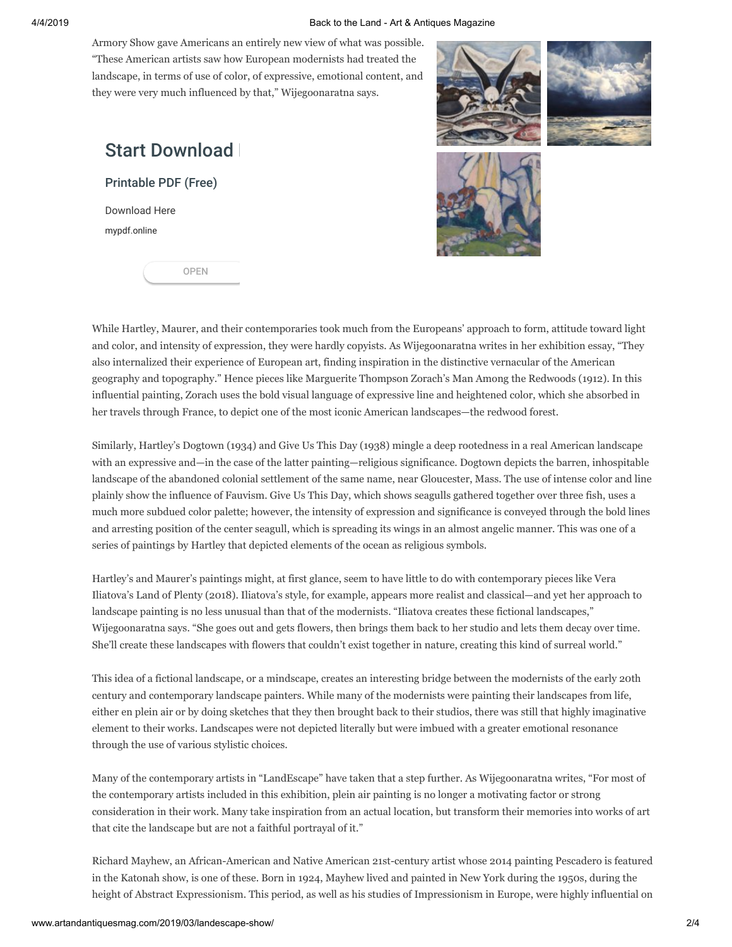#### 4/4/2019 Back to the Land - Art & Antiques Magazine

Armory Show gave Americans an entirely new view of what was possible. "These American artists saw how European modernists had treated the landscape, in terms of use of color, of expressive, emotional content, and they were very much influenced by that," Wijegoonaratna says.

# **Start Download**

[Printable PDF \(Free\)](https://www.googleadservices.com/pagead/aclk?sa=L&ai=CYt3_7gOmXP7QKMbgvgK5ipb4Af7O74FW2Ljn4pEJ44OExosOEAEgnqzxGmDJ7qCLwKTYD6ABztr20gPIAQGoAwHIA8MEqgTVAU_QOU-qIV8Mux5I6p-ejokoma6KRlsfdWu7rmGkuZLH5j5X36sHRJW__ZlKfGSRTjBflkcGMlMb6z7BoHIctt6LtWCAvXxWBYW7l9n0GSdgEirAZ_Fwnk3hav7xJWcdpIoHm8fDkr5bU9FDJ8k8Tcwvrvv2s-ZpRxb7ivF-D9EHswF808k1QvyPGTTl1HLmlbRU4Uu7ME24SKOJKyMKgjqlK1UWWZONkxj9W0IlKTMjFu3x1-3fCLZp24g1QLdAYvlek9-qSvTdzR3uHZhKtzVw1GoHt6AGZoAHmqWJLagHjs4bqAfVyRuoB-DTG6gHqAaoB9nLG6gHz8wbqAemvhvYBwHSCAcIgAEQARgCsQnJpoGz2uvrO4AKAdgTDA&ae=1&num=1&cid=CAASEuRoWcqc-At-rUSCDGxfOXsZ7A&sig=AOD64_35dg4zftIOUP8JBs15drQSwlo-Ww&client=ca-pub-4949852267646155&adurl=https://mypdf.online/games/converter7%3Fsid%3DAW2_mypdfonline%26cid%3Dpdf%26gclid%3DEAIaIQobChMI_v-BjMO24QIVRrBPCh05hQUfEAEYASAAEgJMX_D_BwE)

[Download Here](https://www.googleadservices.com/pagead/aclk?sa=L&ai=CYt3_7gOmXP7QKMbgvgK5ipb4Af7O74FW2Ljn4pEJ44OExosOEAEgnqzxGmDJ7qCLwKTYD6ABztr20gPIAQGoAwHIA8MEqgTVAU_QOU-qIV8Mux5I6p-ejokoma6KRlsfdWu7rmGkuZLH5j5X36sHRJW__ZlKfGSRTjBflkcGMlMb6z7BoHIctt6LtWCAvXxWBYW7l9n0GSdgEirAZ_Fwnk3hav7xJWcdpIoHm8fDkr5bU9FDJ8k8Tcwvrvv2s-ZpRxb7ivF-D9EHswF808k1QvyPGTTl1HLmlbRU4Uu7ME24SKOJKyMKgjqlK1UWWZONkxj9W0IlKTMjFu3x1-3fCLZp24g1QLdAYvlek9-qSvTdzR3uHZhKtzVw1GoHt6AGZoAHmqWJLagHjs4bqAfVyRuoB-DTG6gHqAaoB9nLG6gHz8wbqAemvhvYBwHSCAcIgAEQARgCsQnJpoGz2uvrO4AKAdgTDA&ae=1&num=1&cid=CAASEuRoWcqc-At-rUSCDGxfOXsZ7A&sig=AOD64_35dg4zftIOUP8JBs15drQSwlo-Ww&client=ca-pub-4949852267646155&adurl=https://mypdf.online/games/converter7%3Fsid%3DAW2_mypdfonline%26cid%3Dpdf%26gclid%3DEAIaIQobChMI_v-BjMO24QIVRrBPCh05hQUfEAEYASAAEgJMX_D_BwE) [mypdf.online](https://www.googleadservices.com/pagead/aclk?sa=L&ai=CYt3_7gOmXP7QKMbgvgK5ipb4Af7O74FW2Ljn4pEJ44OExosOEAEgnqzxGmDJ7qCLwKTYD6ABztr20gPIAQGoAwHIA8MEqgTVAU_QOU-qIV8Mux5I6p-ejokoma6KRlsfdWu7rmGkuZLH5j5X36sHRJW__ZlKfGSRTjBflkcGMlMb6z7BoHIctt6LtWCAvXxWBYW7l9n0GSdgEirAZ_Fwnk3hav7xJWcdpIoHm8fDkr5bU9FDJ8k8Tcwvrvv2s-ZpRxb7ivF-D9EHswF808k1QvyPGTTl1HLmlbRU4Uu7ME24SKOJKyMKgjqlK1UWWZONkxj9W0IlKTMjFu3x1-3fCLZp24g1QLdAYvlek9-qSvTdzR3uHZhKtzVw1GoHt6AGZoAHmqWJLagHjs4bqAfVyRuoB-DTG6gHqAaoB9nLG6gHz8wbqAemvhvYBwHSCAcIgAEQARgCsQnJpoGz2uvrO4AKAdgTDA&ae=1&num=1&cid=CAASEuRoWcqc-At-rUSCDGxfOXsZ7A&sig=AOD64_35dg4zftIOUP8JBs15drQSwlo-Ww&client=ca-pub-4949852267646155&adurl=https://mypdf.online/games/converter7%3Fsid%3DAW2_mypdfonline%26cid%3Dpdf%26gclid%3DEAIaIQobChMI_v-BjMO24QIVRrBPCh05hQUfEAEYASAAEgJMX_D_BwE)

[OPEN](https://www.googleadservices.com/pagead/aclk?sa=L&ai=CYt3_7gOmXP7QKMbgvgK5ipb4Af7O74FW2Ljn4pEJ44OExosOEAEgnqzxGmDJ7qCLwKTYD6ABztr20gPIAQGoAwHIA8MEqgTVAU_QOU-qIV8Mux5I6p-ejokoma6KRlsfdWu7rmGkuZLH5j5X36sHRJW__ZlKfGSRTjBflkcGMlMb6z7BoHIctt6LtWCAvXxWBYW7l9n0GSdgEirAZ_Fwnk3hav7xJWcdpIoHm8fDkr5bU9FDJ8k8Tcwvrvv2s-ZpRxb7ivF-D9EHswF808k1QvyPGTTl1HLmlbRU4Uu7ME24SKOJKyMKgjqlK1UWWZONkxj9W0IlKTMjFu3x1-3fCLZp24g1QLdAYvlek9-qSvTdzR3uHZhKtzVw1GoHt6AGZoAHmqWJLagHjs4bqAfVyRuoB-DTG6gHqAaoB9nLG6gHz8wbqAemvhvYBwHSCAcIgAEQARgCsQnJpoGz2uvrO4AKAdgTDA&ae=1&num=1&cid=CAASEuRoWcqc-At-rUSCDGxfOXsZ7A&sig=AOD64_35dg4zftIOUP8JBs15drQSwlo-Ww&client=ca-pub-4949852267646155&adurl=https://mypdf.online/games/converter7%3Fsid%3DAW2_mypdfonline%26cid%3Dpdf%26gclid%3DEAIaIQobChMI_v-BjMO24QIVRrBPCh05hQUfEAEYASAAEgJMX_D_BwE)





While Hartley, Maurer, and their contemporaries took much from the Europeans' approach to form, attitude toward light and color, and intensity of expression, they were hardly copyists. As Wijegoonaratna writes in her exhibition essay, "They also internalized their experience of European art, finding inspiration in the distinctive vernacular of the American geography and topography." Hence pieces like Marguerite Thompson Zorach's Man Among the Redwoods (1912). In this influential painting, Zorach uses the bold visual language of expressive line and heightened color, which she absorbed in her travels through France, to depict one of the most iconic American landscapes—the redwood forest.

Similarly, Hartley's Dogtown (1934) and Give Us This Day (1938) mingle a deep rootedness in a real American landscape with an expressive and—in the case of the latter painting—religious significance. Dogtown depicts the barren, inhospitable landscape of the abandoned colonial settlement of the same name, near Gloucester, Mass. The use of intense color and line plainly show the influence of Fauvism. Give Us This Day, which shows seagulls gathered together over three fish, uses a much more subdued color palette; however, the intensity of expression and significance is conveyed through the bold lines and arresting position of the center seagull, which is spreading its wings in an almost angelic manner. This was one of a series of paintings by Hartley that depicted elements of the ocean as religious symbols.

Hartley's and Maurer's paintings might, at first glance, seem to have little to do with contemporary pieces like Vera Iliatova's Land of Plenty (2018). Iliatova's style, for example, appears more realist and classical—and yet her approach to landscape painting is no less unusual than that of the modernists. "Iliatova creates these fictional landscapes," Wijegoonaratna says. "She goes out and gets flowers, then brings them back to her studio and lets them decay over time. She'll create these landscapes with flowers that couldn't exist together in nature, creating this kind of surreal world."

This idea of a fictional landscape, or a mindscape, creates an interesting bridge between the modernists of the early 20th century and contemporary landscape painters. While many of the modernists were painting their landscapes from life, either en plein air or by doing sketches that they then brought back to their studios, there was still that highly imaginative element to their works. Landscapes were not depicted literally but were imbued with a greater emotional resonance through the use of various stylistic choices.

Many of the contemporary artists in "LandEscape" have taken that a step further. As Wijegoonaratna writes, "For most of the contemporary artists included in this exhibition, plein air painting is no longer a motivating factor or strong consideration in their work. Many take inspiration from an actual location, but transform their memories into works of art that cite the landscape but are not a faithful portrayal of it."

Richard Mayhew, an African-American and Native American 21st-century artist whose 2014 painting Pescadero is featured in the Katonah show, is one of these. Born in 1924, Mayhew lived and painted in New York during the 1950s, during the height of Abstract Expressionism. This period, as well as his studies of Impressionism in Europe, were highly influential on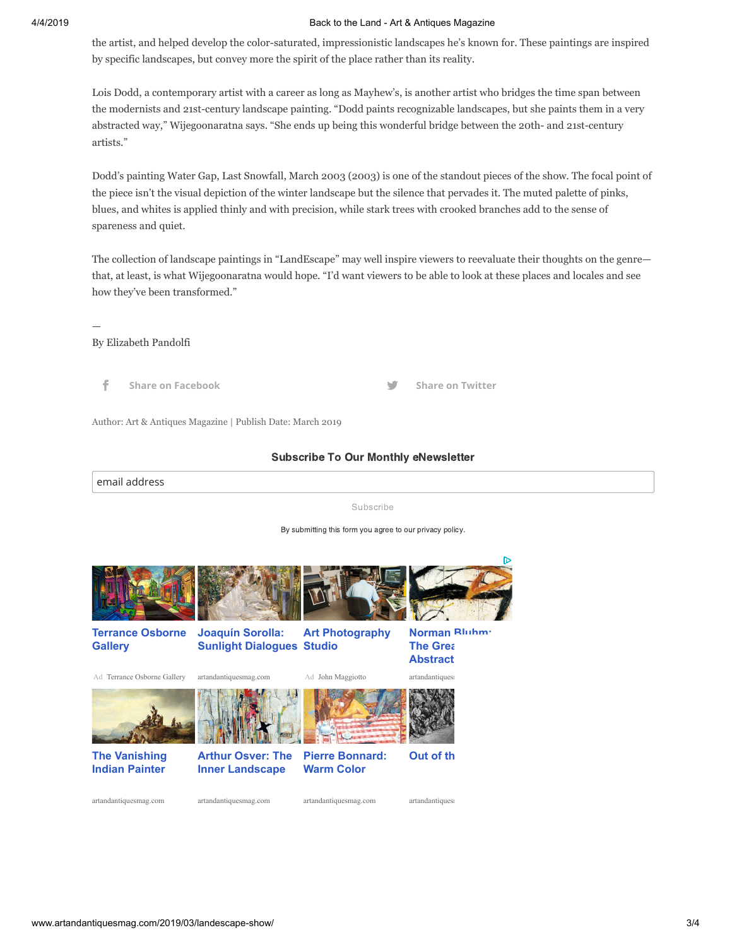#### 4/4/2019 Back to the Land - Art & Antiques Magazine

the artist, and helped develop the color-saturated, impressionistic landscapes he's known for. These paintings are inspired by specific landscapes, but convey more the spirit of the place rather than its reality.

Lois Dodd, a contemporary artist with a career as long as Mayhew's, is another artist who bridges the time span between the modernists and 21st-century landscape painting. "Dodd paints recognizable landscapes, but she paints them in a very abstracted way," Wijegoonaratna says. "She ends up being this wonderful bridge between the 20th- and 21st-century artists."

Dodd's painting Water Gap, Last Snowfall, March 2003 (2003) is one of the standout pieces of the show. The focal point of the piece isn't the visual depiction of the winter landscape but the silence that pervades it. The muted palette of pinks, blues, and whites is applied thinly and with precision, while stark trees with crooked branches add to the sense of spareness and quiet.

The collection of landscape paintings in "LandEscape" may well inspire viewers to reevaluate their thoughts on the genre that, at least, is what Wijegoonaratna would hope. "I'd want viewers to be able to look at these places and locales and see how they've been transformed."

Subscribe To Our Monthly eNewsletter

—

### By Elizabeth Pandolfi

**[Share on Facebook](http://www.facebook.com/sharer.php?u=http%3A%2F%2Fwww.artandantiquesmag.com%2F2019%2F03%2Flandescape-show%2F&t=Back%20to%20the%20Land) [Share on Twitter](http://twitter.com/share?text=Back%20to%20the%20Land&url=http%3A%2F%2Fwww.artandantiquesmag.com%2F2019%2F03%2Flandescape-show%2F&via=artantiquesmag)**

Author: Art & Antiques Magazine | Publish Date: March 2019

### email address Subscribe By submitting this form you agree to our privacy policy. **[Terrance Osborne](https://www.googleadservices.com/pagead/aclk?sa=L&ai=CQULU7gOmXNfvKJHWvALq34uwC62o9IFPl4eE2KsIwI23ARABIJ6s8RooCGDJ7qCLwKTYD6AB9N6fmQPIAQaoAwHIAwKqBLsBT9AzCAFBrj7sVFMyvE60ZWFT1ekrm_jRxuIDyZYMQFABCnmBkQKzWC5tFQolKG4CyKA1ydv09Deczjxq_Vo_9OlMaVNwXdZfrl4rHCsPSVBY5gyMSxURnDsrjajSj8Ks9G4-mOcdrxsu4NM3MdmJJF_CaP0vTS5oCNbiA1kF7CQHr2SXBQpfpz8Y3ZL8BukAU4Xl7yjga4aspNdl6QWTabDR8v8_1m7JB7lKhxnhqUH7uxrVVeP2mqDSAKAGN4AH9KDgZqgHjs4bqAfVyRuoB-DTG6gHqAaoB9nLG6gHz8wbqAemvhvYBwHSCAcIgAEQARgCsQnvyIqxxdDIFYAKAdgTCg&ae=1&num=1&cid=CAASEuRor9chjRGxUoqzZnacqITNeQ&sig=AOD64_1SDajMwHp1E8xhswRiP-HNe9sbow&client=ca-pub-4949852267646155&adurl=http://www.terranceosborne.com/) Gallery** Ad [Terrance Osborne Gallery](https://www.googleadservices.com/pagead/aclk?sa=L&ai=CQULU7gOmXNfvKJHWvALq34uwC62o9IFPl4eE2KsIwI23ARABIJ6s8RooCGDJ7qCLwKTYD6AB9N6fmQPIAQaoAwHIAwKqBLsBT9AzCAFBrj7sVFMyvE60ZWFT1ekrm_jRxuIDyZYMQFABCnmBkQKzWC5tFQolKG4CyKA1ydv09Deczjxq_Vo_9OlMaVNwXdZfrl4rHCsPSVBY5gyMSxURnDsrjajSj8Ks9G4-mOcdrxsu4NM3MdmJJF_CaP0vTS5oCNbiA1kF7CQHr2SXBQpfpz8Y3ZL8BukAU4Xl7yjga4aspNdl6QWTabDR8v8_1m7JB7lKhxnhqUH7uxrVVeP2mqDSAKAGN4AH9KDgZqgHjs4bqAfVyRuoB-DTG6gHqAaoB9nLG6gHz8wbqAemvhvYBwHSCAcIgAEQARgCsQnvyIqxxdDIFYAKAdgTCg&ae=1&num=1&cid=CAASEuRor9chjRGxUoqzZnacqITNeQ&sig=AOD64_1SDajMwHp1E8xhswRiP-HNe9sbow&client=ca-pub-4949852267646155&adurl=http://www.terranceosborne.com/) **Joaquín Sorolla: [Sunlight Dialogues](https://googleads.g.doubleclick.net/aclk?sa=L&ai=C3jGD7gOmXNfvKJHWvALq34uwC6XVnbEFjdzCup8Cpp6tjWsQAiCerPEaKAhgye6gi8Ck2A_IAQGoAwHIAwKqBK8BT9D75wxhr7Tt_yVcvBeiOXRAz-wkke3Ww_4Xz54eSh8FS3dU_b-EbigkFkQgxFnhoe0pzZWr4W_EzmV8oU8s7uxDY0Z3WMpLqFY5FmQLCF4YuROPQgsYgCR0w6rXhNWq5n06xfFYswRud_3U8NhAzpLiyqAtvdjkAT7hX1kFbCQH62SXhIpfpz8YnBL6BukAE4Xj7yjga6aspNdl6SWTa6XULx2E4m7IDLsx6yHuA6AGRcAGC4AH5ffiNagHjs4bqAfVyRuoB-DTG6gHqAaoB9nLG6gHz8wbqAemvhvYBwHSCAcIgAEQARgCgAoB&ae=1&num=2&sig=AOD64_1cSnkAR78TtcGa9wq84g-YeAjHMQ&adurl=http://www.artandantiquesmag.com/2019/03/joaquin-sorolla/) Studio** [artandantiquesmag.com](https://googleads.g.doubleclick.net/aclk?sa=L&ai=C3jGD7gOmXNfvKJHWvALq34uwC6XVnbEFjdzCup8Cpp6tjWsQAiCerPEaKAhgye6gi8Ck2A_IAQGoAwHIAwKqBK8BT9D75wxhr7Tt_yVcvBeiOXRAz-wkke3Ww_4Xz54eSh8FS3dU_b-EbigkFkQgxFnhoe0pzZWr4W_EzmV8oU8s7uxDY0Z3WMpLqFY5FmQLCF4YuROPQgsYgCR0w6rXhNWq5n06xfFYswRud_3U8NhAzpLiyqAtvdjkAT7hX1kFbCQH62SXhIpfpz8YnBL6BukAE4Xj7yjga6aspNdl6SWTa6XULx2E4m7IDLsx6yHuA6AGRcAGC4AH5ffiNagHjs4bqAfVyRuoB-DTG6gHqAaoB9nLG6gHz8wbqAemvhvYBwHSCAcIgAEQARgCgAoB&ae=1&num=2&sig=AOD64_1cSnkAR78TtcGa9wq84g-YeAjHMQ&adurl=http://www.artandantiquesmag.com/2019/03/joaquin-sorolla/) **[Art Photography](https://www.googleadservices.com/pagead/aclk?sa=L&ai=CeMI-7gOmXNfvKJHWvALq34uwC7Sq6s9S8-a28qcJwI23ARADIJ6s8RooCGDJ7qCLwKTYD6ABy67x-wLIAQaoAwHIAwKqBLwBT9BlaUdBrD7sVFMyvE60ZWFT1ekrm_jRxuIDyZYMQFABCnmBkQKzWC5tFQolKG4CyKA1ydv09Deczjxq_Vo_9OlMaVNwXdZfrl4rHCsPSVBY5gyMSxURnDsrjajSj8Ks9G4-mOcdrxsu4NM3MdmJJBGHfpUvTS5oCNbiA1kF7CQHr2SXBQpfpz8Y3ZL8BukAU4Xl7yjga4aspNdl6QWTabDR8v8_1m7JIu8ZZfgGBnXjNd0QW1N0DEcCCoegBjeAB53RjoQBqAeOzhuoB9XJG6gH4NMbqAeoBqgH2csbqAfPzBuoB6a-G9gHAdIIBwiAARABGAKxCWMYxfKIuzv0gAoB2BMK&ae=1&num=3&cid=CAASEuRor9chjRGxUoqzZnacqITNeQ&sig=AOD64_1UiD5ugTuxSPeq5TZNh8vDlu7pag&client=ca-pub-4949852267646155&adurl=http://www.maggiotto.com/)** Ad [John Maggiotto](https://www.googleadservices.com/pagead/aclk?sa=L&ai=CeMI-7gOmXNfvKJHWvALq34uwC7Sq6s9S8-a28qcJwI23ARADIJ6s8RooCGDJ7qCLwKTYD6ABy67x-wLIAQaoAwHIAwKqBLwBT9BlaUdBrD7sVFMyvE60ZWFT1ekrm_jRxuIDyZYMQFABCnmBkQKzWC5tFQolKG4CyKA1ydv09Deczjxq_Vo_9OlMaVNwXdZfrl4rHCsPSVBY5gyMSxURnDsrjajSj8Ks9G4-mOcdrxsu4NM3MdmJJBGHfpUvTS5oCNbiA1kF7CQHr2SXBQpfpz8Y3ZL8BukAU4Xl7yjga4aspNdl6QWTabDR8v8_1m7JIu8ZZfgGBnXjNd0QW1N0DEcCCoegBjeAB53RjoQBqAeOzhuoB9XJG6gH4NMbqAeoBqgH2csbqAfPzBuoB6a-G9gHAdIIBwiAARABGAKxCWMYxfKIuzv0gAoB2BMK&ae=1&num=3&cid=CAASEuRor9chjRGxUoqzZnacqITNeQ&sig=AOD64_1UiD5ugTuxSPeq5TZNh8vDlu7pag&client=ca-pub-4949852267646155&adurl=http://www.maggiotto.com/) **[Norman Bluhm:](https://googleads.g.doubleclick.net/aclk?sa=L&ai=CaAPZ7gOmXNfvKJHWvALq34uwC6XVnbEFjdzCup8Cpp6tjWsQBCCerPEaKAhgye6gi8Ck2A_IAQGoAwHIAwKqBK8BT9D75wphr7Tt_yVcvBeiOXRAz-wkke3Ww_4Xz54eSh8FS3dU_b-EbigkFkQgxFnhoe0pzZWr4W_EzmV8oU8s7uxDY0Z3WMpLqFY5FmQLCF4YuROPQgsYgCR0w6rXhNWq5n06xfFYswRud_3U8NhAzpLiyqAtvdjkAT7hX1kFbCQH62SXhIpfpz8YnBL6BukAE4Xj7yjga6aspNdl6SWTa6XULx2E4m7IDLsx6yHuA6AGRcAGC4AH5ffiNagHjs4bqAfVyRuoB-DTG6gHqAaoB9nLG6gHz8wbqAemvhvYBwHSCAcIgAEQARgCgAoB&ae=1&num=4&sig=AOD64_2Oe3l5wApWSzyrgeKzMedsb_x6ug&adurl=http://www.artandantiquesmag.com/2012/11/norman-bluhm/) The Great Abstract...** artandantiques **[The Vanishing](https://googleads.g.doubleclick.net/aclk?sa=L&ai=Cr4687gOmXNfvKJHWvALq34uwC6XVnbEFjdzCup8Cpp6tjWsQBSCerPEaKAhgye6gi8Ck2A_IAQGoAwHIAwKqBK8BT9D75wthr7Tt_yVcvBeiOXRAz-wkke3Ww_4Xz54eSh8FS3dU_b-EbigkFkQgxFnhoe0pzZWr4W_EzmV8oU8s7uxDY0Z3WMpLqFY5FmQLCF4YuROPQgsYgCR0w6rXhNWq5n06xfFYswRud_3U8NhAzpLiyqAtvdjkAT7hX1kFbCQH62SXhIpfpz8YnBL6BukAE4Xj7yjga6aspNdl6SWTa6XULx2E4m7IDLsx6yHuA6AGRcAGC4AH5ffiNagHjs4bqAfVyRuoB-DTG6gHqAaoB9nLG6gHz8wbqAemvhvYBwHSCAcIgAEQARgCgAoB&ae=1&num=5&sig=AOD64_29Ke8N2WjptcBWnC-ie4L7E7Wy6Q&adurl=http://www.artandantiquesmag.com/2016/03/john-mix-stanley-paintings/) Indian Painter [Arthur Osver: The](https://googleads.g.doubleclick.net/aclk?sa=L&ai=CHbac7gOmXNfvKJHWvALq34uwC6XVnbEFjdzCup8Cpp6tjWsQBiCerPEaKAhgye6gi8Ck2A_IAQGoAwHIAwKqBK8BT9D75whhr7Tt_yVcvBeiOXRAz-wkke3Ww_4Xz54eSh8FS3dU_b-EbigkFkQgxFnhoe0pzZWr4W_EzmV8oU8s7uxDY0Z3WMpLqFY5FmQLCF4YuROPQgsYgCR0w6rXhNWq5n06xfFYswRud_3U8NhAzpLiyqAtvdjkAT7hX1kFbCQH62SXhIpfpz8YnBL6BukAE4Xj7yjga6aspNdl6SWTa6XULx2E4m7IDLsx6yHuA6AGRcAGC4AH5ffiNagHjs4bqAfVyRuoB-DTG6gHqAaoB9nLG6gHz8wbqAemvhvYBwHSCAcIgAEQARgCgAoB&ae=1&num=6&sig=AOD64_3FtYBDGqDDaJC-VbwfLPB2uiXqfA&adurl=http://www.artandantiquesmag.com/2019/01/arthur-osver/) Inner Landscape [Pierre Bonnard:](https://googleads.g.doubleclick.net/aclk?sa=L&ai=CI9mr7gOmXNfvKJHWvALq34uwC6XVnbEFjdzCup8Cpp6tjWsQByCerPEaKAhgye6gi8Ck2A_IAQGoAwHIAwKqBK8BT9D75wlhr7Tt_yVcvBeiOXRAz-wkke3Ww_4Xz54eSh8FS3dU_b-EbigkFkQgxFnhoe0pzZWr4W_EzmV8oU8s7uxDY0Z3WMpLqFY5FmQLCF4YuROPQgsYgCR0w6rXhNWq5n06xfFYswRud_3U8NhAzpLiyqAtvdjkAT7hX1kFbCQH62SXhIpfpz8YnBL6BukAE4Xj7yjga6aspNdl6SWTa6XULx2E4m7IDLsx6yHuA6AGRcAGC4AH5ffiNagHjs4bqAfVyRuoB-DTG6gHqAaoB9nLG6gHz8wbqAemvhvYBwHSCAcIgAEQARgCgAoB&ae=1&num=7&sig=AOD64_2lshMgVevFclPCWa_FK6Ey8puWqQ&adurl=http://www.artandantiquesmag.com/2019/01/pierre-bonnard/) Warm Color Out of the**

[artandantiquesmag.com](https://googleads.g.doubleclick.net/aclk?sa=L&ai=Cr4687gOmXNfvKJHWvALq34uwC6XVnbEFjdzCup8Cpp6tjWsQBSCerPEaKAhgye6gi8Ck2A_IAQGoAwHIAwKqBK8BT9D75wthr7Tt_yVcvBeiOXRAz-wkke3Ww_4Xz54eSh8FS3dU_b-EbigkFkQgxFnhoe0pzZWr4W_EzmV8oU8s7uxDY0Z3WMpLqFY5FmQLCF4YuROPQgsYgCR0w6rXhNWq5n06xfFYswRud_3U8NhAzpLiyqAtvdjkAT7hX1kFbCQH62SXhIpfpz8YnBL6BukAE4Xj7yjga6aspNdl6SWTa6XULx2E4m7IDLsx6yHuA6AGRcAGC4AH5ffiNagHjs4bqAfVyRuoB-DTG6gHqAaoB9nLG6gHz8wbqAemvhvYBwHSCAcIgAEQARgCgAoB&ae=1&num=5&sig=AOD64_29Ke8N2WjptcBWnC-ie4L7E7Wy6Q&adurl=http://www.artandantiquesmag.com/2016/03/john-mix-stanley-paintings/)

[artandantiquesmag.com](https://googleads.g.doubleclick.net/aclk?sa=L&ai=CHbac7gOmXNfvKJHWvALq34uwC6XVnbEFjdzCup8Cpp6tjWsQBiCerPEaKAhgye6gi8Ck2A_IAQGoAwHIAwKqBK8BT9D75whhr7Tt_yVcvBeiOXRAz-wkke3Ww_4Xz54eSh8FS3dU_b-EbigkFkQgxFnhoe0pzZWr4W_EzmV8oU8s7uxDY0Z3WMpLqFY5FmQLCF4YuROPQgsYgCR0w6rXhNWq5n06xfFYswRud_3U8NhAzpLiyqAtvdjkAT7hX1kFbCQH62SXhIpfpz8YnBL6BukAE4Xj7yjga6aspNdl6SWTa6XULx2E4m7IDLsx6yHuA6AGRcAGC4AH5ffiNagHjs4bqAfVyRuoB-DTG6gHqAaoB9nLG6gHz8wbqAemvhvYBwHSCAcIgAEQARgCgAoB&ae=1&num=6&sig=AOD64_3FtYBDGqDDaJC-VbwfLPB2uiXqfA&adurl=http://www.artandantiquesmag.com/2019/01/arthur-osver/)

[artandantiquesmag.com](https://googleads.g.doubleclick.net/aclk?sa=L&ai=CI9mr7gOmXNfvKJHWvALq34uwC6XVnbEFjdzCup8Cpp6tjWsQByCerPEaKAhgye6gi8Ck2A_IAQGoAwHIAwKqBK8BT9D75wlhr7Tt_yVcvBeiOXRAz-wkke3Ww_4Xz54eSh8FS3dU_b-EbigkFkQgxFnhoe0pzZWr4W_EzmV8oU8s7uxDY0Z3WMpLqFY5FmQLCF4YuROPQgsYgCR0w6rXhNWq5n06xfFYswRud_3U8NhAzpLiyqAtvdjkAT7hX1kFbCQH62SXhIpfpz8YnBL6BukAE4Xj7yjga6aspNdl6SWTa6XULx2E4m7IDLsx6yHuA6AGRcAGC4AH5ffiNagHjs4bqAfVyRuoB-DTG6gHqAaoB9nLG6gHz8wbqAemvhvYBwHSCAcIgAEQARgCgAoB&ae=1&num=7&sig=AOD64_2lshMgVevFclPCWa_FK6Ey8puWqQ&adurl=http://www.artandantiquesmag.com/2019/01/pierre-bonnard/)

artandantiques